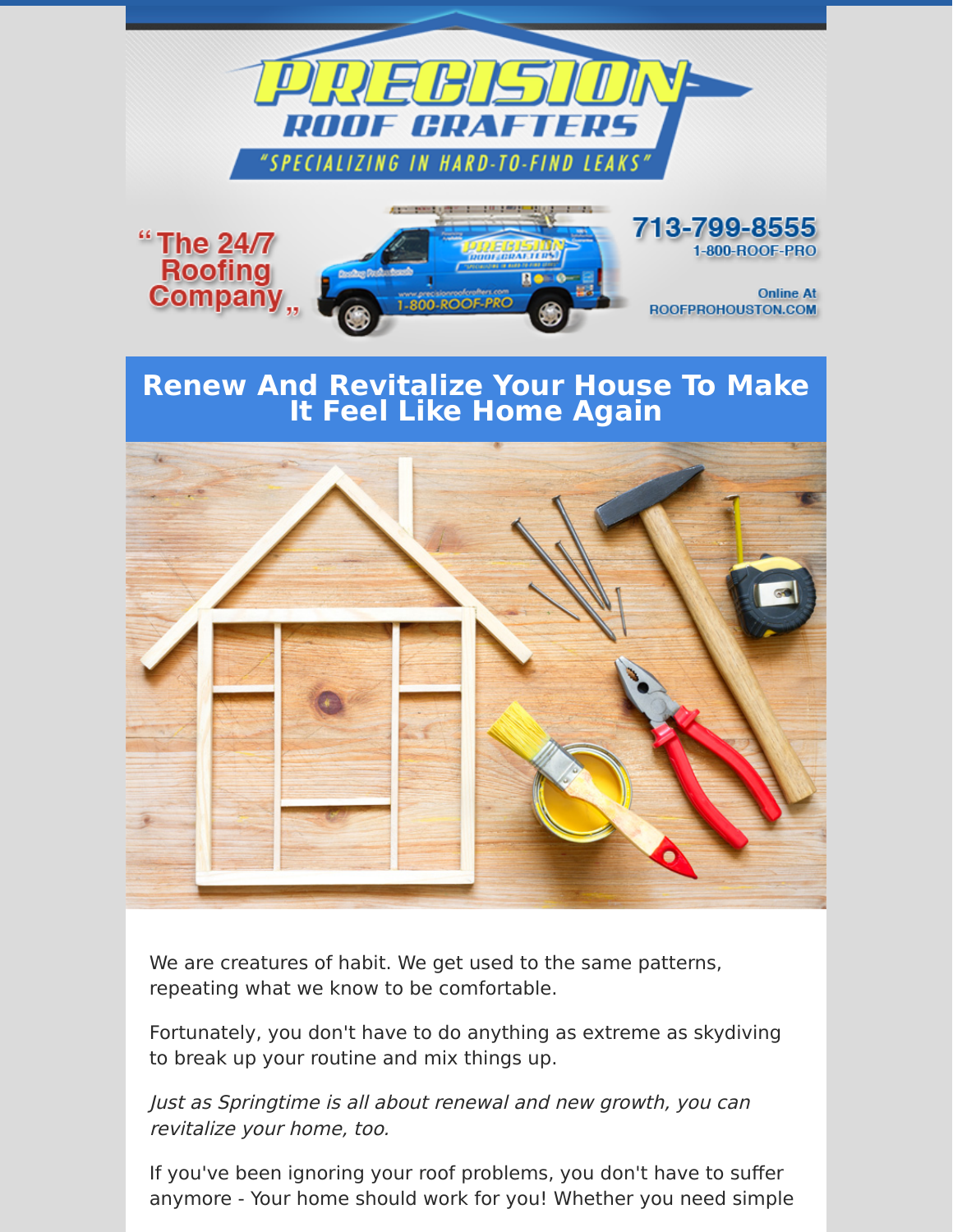



We are creatures of habit. We get used to the same patterns, repeating what we know to be comfortable.

Fortunately, you don't have to do anything as extreme as skydiving to break up your routine and mix things up.

Just as Springtime is all about renewal and new growth, you can revitalize your home, too.

If you've been ignoring your roof problems, you don't have to suffer anymore - Your home should work for you! Whether you need simple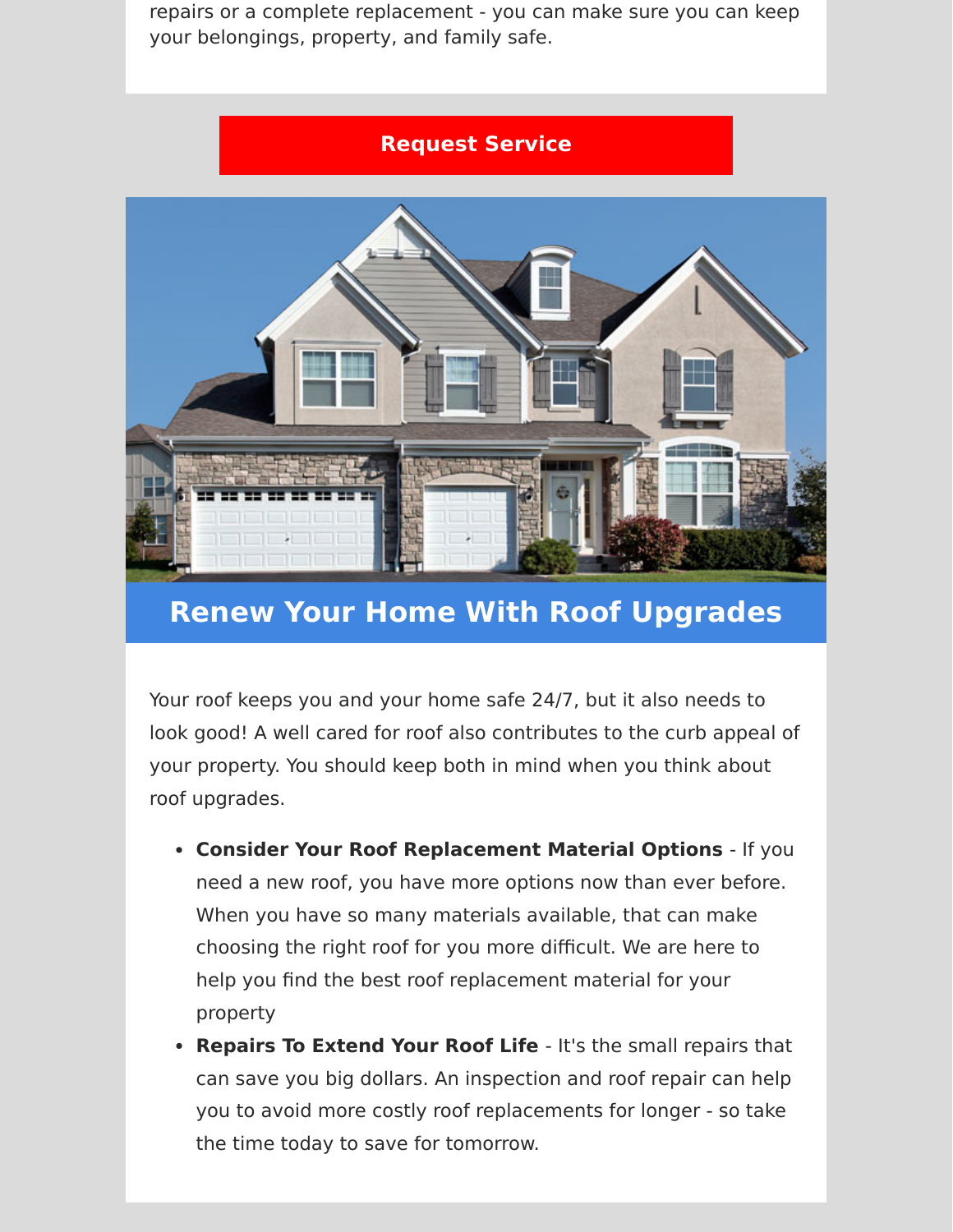repairs or a complete replacement - you can make sure you can keep your belongings, property, and family safe.

## **[Request Service](https://www.precisionroofcrafters.com/contact-us.php)**



## **Renew Your Home With Roof Upgrades**

Your roof keeps you and your home safe 24/7, but it also needs to look good! A well cared for roof also contributes to the curb appeal of your property. You should keep both in mind when you think about roof upgrades.

- **Consider Your Roof Replacement Material Options**  If you need a new roof, you have more options now than ever before. When you have so many materials available, that can make choosing the right roof for you more difficult. We are here to help you find the best roof replacement material for your property
- **Repairs To Extend Your Roof Life**  It's the small repairs that can save you big dollars. An inspection and roof repair can help you to avoid more costly roof replacements for longer - so take the time today to save for tomorrow.